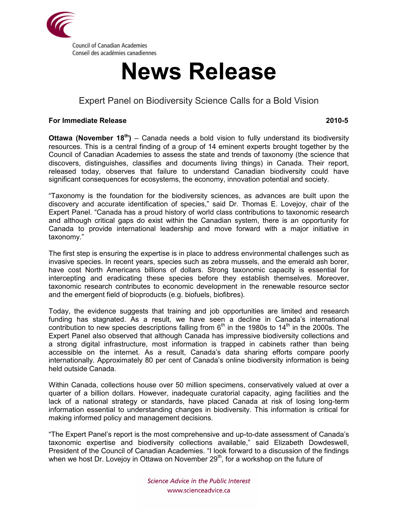

# **News Release**

## Expert Panel on Biodiversity Science Calls for a Bold Vision

### **For Immediate Release 2010-5**

**Ottawa (November 18th)** – Canada needs a bold vision to fully understand its biodiversity resources. This is a central finding of a group of 14 eminent experts brought together by the Council of Canadian Academies to assess the state and trends of taxonomy (the science that discovers, distinguishes, classifies and documents living things) in Canada. Their report, released today, observes that failure to understand Canadian biodiversity could have significant consequences for ecosystems, the economy, innovation potential and society.

"Taxonomy is the foundation for the biodiversity sciences, as advances are built upon the discovery and accurate identification of species," said Dr. Thomas E. Lovejoy, chair of the Expert Panel. "Canada has a proud history of world class contributions to taxonomic research and although critical gaps do exist within the Canadian system, there is an opportunity for Canada to provide international leadership and move forward with a major initiative in taxonomy."

The first step is ensuring the expertise is in place to address environmental challenges such as invasive species. In recent years, species such as zebra mussels, and the emerald ash borer, have cost North Americans billions of dollars. Strong taxonomic capacity is essential for intercepting and eradicating these species before they establish themselves. Moreover, taxonomic research contributes to economic development in the renewable resource sector and the emergent field of bioproducts (e.g. biofuels, biofibres).

Today, the evidence suggests that training and job opportunities are limited and research funding has stagnated. As a result, we have seen a decline in Canada's international contribution to new species descriptions falling from  $6<sup>th</sup>$  in the 1980s to 14<sup>th</sup> in the 2000s. The Expert Panel also observed that although Canada has impressive biodiversity collections and a strong digital infrastructure, most information is trapped in cabinets rather than being accessible on the internet. As a result, Canada's data sharing efforts compare poorly internationally. Approximately 80 per cent of Canada's online biodiversity information is being held outside Canada.

Within Canada, collections house over 50 million specimens, conservatively valued at over a quarter of a billion dollars. However, inadequate curatorial capacity, aging facilities and the lack of a national strategy or standards, have placed Canada at risk of losing long-term information essential to understanding changes in biodiversity. This information is critical for making informed policy and management decisions.

"The Expert Panel's report is the most comprehensive and up-to-date assessment of Canada's taxonomic expertise and biodiversity collections available," said Elizabeth Dowdeswell, President of the Council of Canadian Academies. "I look forward to a discussion of the findings when we host Dr. Lovejoy in Ottawa on November  $29<sup>th</sup>$ , for a workshop on the future of